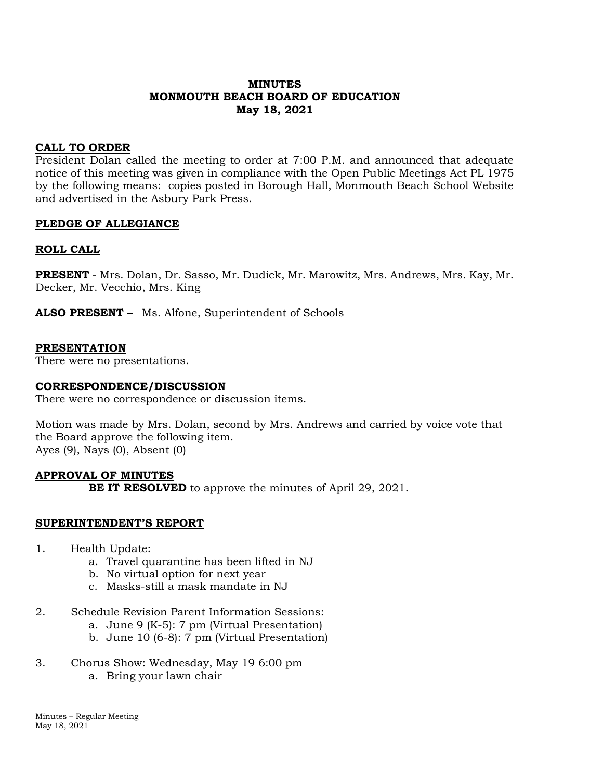# **MINUTES MONMOUTH BEACH BOARD OF EDUCATION May 18, 2021**

### **CALL TO ORDER**

President Dolan called the meeting to order at 7:00 P.M. and announced that adequate notice of this meeting was given in compliance with the Open Public Meetings Act PL 1975 by the following means: copies posted in Borough Hall, Monmouth Beach School Website and advertised in the Asbury Park Press.

### **PLEDGE OF ALLEGIANCE**

### **ROLL CALL**

**PRESENT** - Mrs. Dolan, Dr. Sasso, Mr. Dudick, Mr. Marowitz, Mrs. Andrews, Mrs. Kay, Mr. Decker, Mr. Vecchio, Mrs. King

**ALSO PRESENT –** Ms. Alfone, Superintendent of Schools

#### **PRESENTATION**

There were no presentations.

#### **CORRESPONDENCE/DISCUSSION**

There were no correspondence or discussion items.

Motion was made by Mrs. Dolan, second by Mrs. Andrews and carried by voice vote that the Board approve the following item. Ayes (9), Nays (0), Absent (0)

# **APPROVAL OF MINUTES BE IT RESOLVED** to approve the minutes of April 29, 2021.

#### **SUPERINTENDENT'S REPORT**

- 1. Health Update:
	- a. Travel quarantine has been lifted in NJ
	- b. No virtual option for next year
	- c. Masks-still a mask mandate in NJ
- 2. Schedule Revision Parent Information Sessions:
	- a. June 9 (K-5): 7 pm (Virtual Presentation)
	- b. June 10 (6-8): 7 pm (Virtual Presentation)
- 3. Chorus Show: Wednesday, May 19 6:00 pm a. Bring your lawn chair

Minutes – Regular Meeting May 18, 2021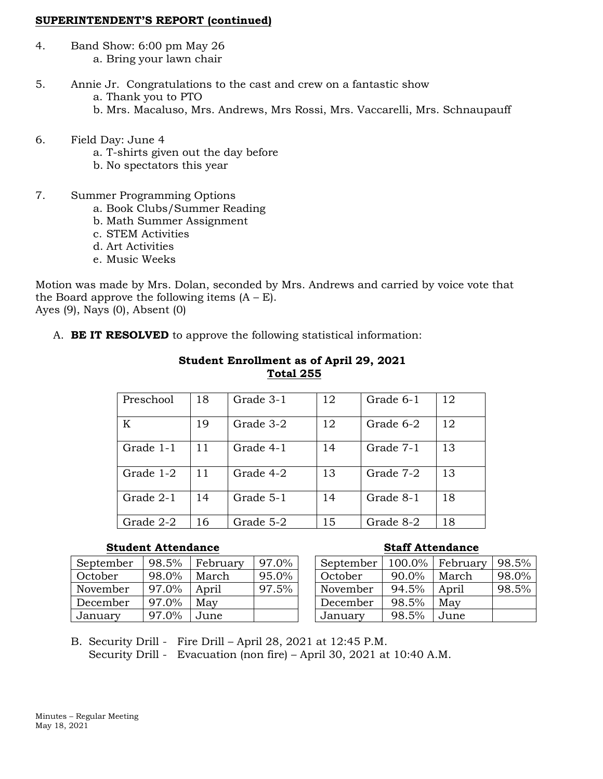#### **SUPERINTENDENT'S REPORT (continued)**

- 4. Band Show: 6:00 pm May 26 a. Bring your lawn chair
- 5. Annie Jr. Congratulations to the cast and crew on a fantastic show a. Thank you to PTO
	- b. Mrs. Macaluso, Mrs. Andrews, Mrs Rossi, Mrs. Vaccarelli, Mrs. Schnaupauff
- 6. Field Day: June 4
	- a. T-shirts given out the day before
	- b. No spectators this year
- 7. Summer Programming Options
	- a. Book Clubs/Summer Reading
	- b. Math Summer Assignment
	- c. STEM Activities
	- d. Art Activities
	- e. Music Weeks

Motion was made by Mrs. Dolan, seconded by Mrs. Andrews and carried by voice vote that the Board approve the following items  $(A - E)$ . Ayes (9), Nays (0), Absent (0)

# A. **BE IT RESOLVED** to approve the following statistical information:

| Preschool | 18 | Grade 3-1 | 12 | Grade 6-1 | 12 |
|-----------|----|-----------|----|-----------|----|
| K         | 19 | Grade 3-2 | 12 | Grade 6-2 | 12 |
| Grade 1-1 | 11 | Grade 4-1 | 14 | Grade 7-1 | 13 |
| Grade 1-2 | 11 | Grade 4-2 | 13 | Grade 7-2 | 13 |
| Grade 2-1 | 14 | Grade 5-1 | 14 | Grade 8-1 | 18 |
| Grade 2-2 | 16 | Grade 5-2 | 15 | Grade 8-2 | 18 |

## **Student Enrollment as of April 29, 2021 Total 255**

# **Student Attendance Staff Attendance**

| September | 98.5% | February | 97.0% |
|-----------|-------|----------|-------|
| October   | 98.0% | March    | 95.0% |
| November  | 97.0% | April    | 97.5% |
| December  | 97.0% | May      |       |
| January   | 97.0% | June     |       |

| September | 100.0% | February | 98.5% |
|-----------|--------|----------|-------|
| October   | 90.0%  | March    | 98.0% |
| November  | 94.5%  | April    | 98.5% |
| December  | 98.5%  | May      |       |
| January   | 98.5%  | June     |       |

B. Security Drill - Fire Drill – April 28, 2021 at 12:45 P.M. Security Drill - Evacuation (non fire) – April 30, 2021 at 10:40 A.M.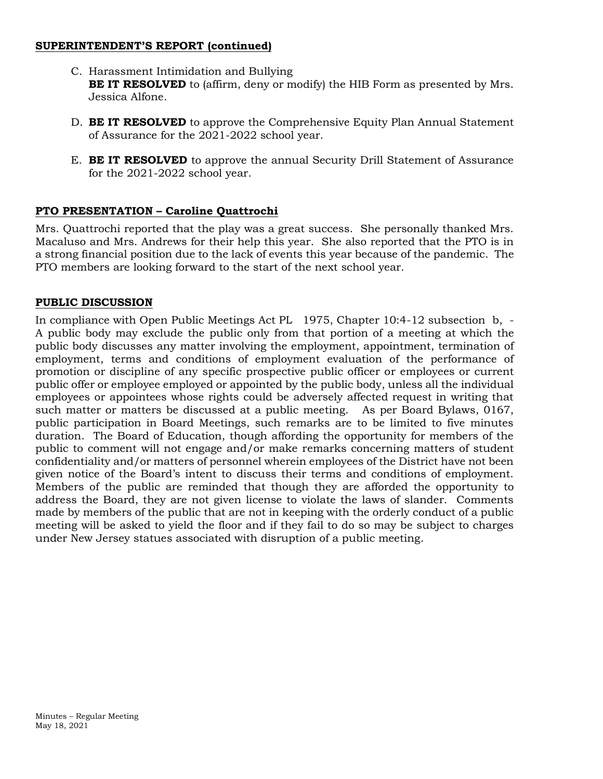### **SUPERINTENDENT'S REPORT (continued)**

- C. Harassment Intimidation and Bullying **BE IT RESOLVED** to (affirm, deny or modify) the HIB Form as presented by Mrs. Jessica Alfone.
- D. **BE IT RESOLVED** to approve the Comprehensive Equity Plan Annual Statement of Assurance for the 2021-2022 school year.
- E. **BE IT RESOLVED** to approve the annual Security Drill Statement of Assurance for the 2021-2022 school year.

# **PTO PRESENTATION – Caroline Quattrochi**

Mrs. Quattrochi reported that the play was a great success. She personally thanked Mrs. Macaluso and Mrs. Andrews for their help this year. She also reported that the PTO is in a strong financial position due to the lack of events this year because of the pandemic. The PTO members are looking forward to the start of the next school year.

# **PUBLIC DISCUSSION**

In compliance with Open Public Meetings Act PL 1975, Chapter 10:4-12 subsection b, - A public body may exclude the public only from that portion of a meeting at which the public body discusses any matter involving the employment, appointment, termination of employment, terms and conditions of employment evaluation of the performance of promotion or discipline of any specific prospective public officer or employees or current public offer or employee employed or appointed by the public body, unless all the individual employees or appointees whose rights could be adversely affected request in writing that such matter or matters be discussed at a public meeting. As per Board Bylaws, 0167, public participation in Board Meetings, such remarks are to be limited to five minutes duration. The Board of Education, though affording the opportunity for members of the public to comment will not engage and/or make remarks concerning matters of student confidentiality and/or matters of personnel wherein employees of the District have not been given notice of the Board's intent to discuss their terms and conditions of employment. Members of the public are reminded that though they are afforded the opportunity to address the Board, they are not given license to violate the laws of slander. Comments made by members of the public that are not in keeping with the orderly conduct of a public meeting will be asked to yield the floor and if they fail to do so may be subject to charges under New Jersey statues associated with disruption of a public meeting.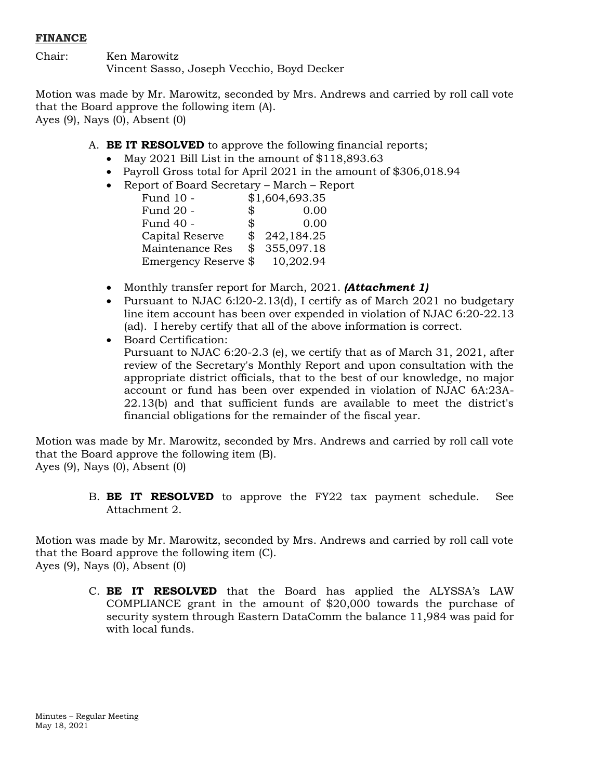# **FINANCE**

Chair: Ken Marowitz Vincent Sasso, Joseph Vecchio, Boyd Decker

Motion was made by Mr. Marowitz, seconded by Mrs. Andrews and carried by roll call vote that the Board approve the following item (A). Ayes (9), Nays (0), Absent (0)

- A. **BE IT RESOLVED** to approve the following financial reports;
	- May 2021 Bill List in the amount of \$118,893.63
	- Payroll Gross total for April 2021 in the amount of \$306,018.94
	- Report of Board Secretary March Report

| Fund 10 -            | \$1,604,693.35   |
|----------------------|------------------|
| Fund 20 -            | \$<br>0.00       |
| Fund 40 -            | \$<br>0.00       |
| Capital Reserve      | \$<br>242,184.25 |
| Maintenance Res      | 355,097.18       |
| Emergency Reserve \$ | 10,202.94        |

- Monthly transfer report for March, 2021. *(Attachment 1)*
- Pursuant to NJAC 6:120-2.13(d), I certify as of March 2021 no budgetary line item account has been over expended in violation of NJAC 6:20-22.13 (ad). I hereby certify that all of the above information is correct.
- Board Certification:
	- Pursuant to NJAC 6:20-2.3 (e), we certify that as of March 31, 2021, after review of the Secretary's Monthly Report and upon consultation with the appropriate district officials, that to the best of our knowledge, no major account or fund has been over expended in violation of NJAC 6A:23A-22.13(b) and that sufficient funds are available to meet the district's financial obligations for the remainder of the fiscal year.

Motion was made by Mr. Marowitz, seconded by Mrs. Andrews and carried by roll call vote that the Board approve the following item (B). Ayes (9), Nays (0), Absent (0)

> B. **BE IT RESOLVED** to approve the FY22 tax payment schedule. See Attachment 2.

Motion was made by Mr. Marowitz, seconded by Mrs. Andrews and carried by roll call vote that the Board approve the following item (C). Ayes (9), Nays (0), Absent (0)

> C. **BE IT RESOLVED** that the Board has applied the ALYSSA's LAW COMPLIANCE grant in the amount of \$20,000 towards the purchase of security system through Eastern DataComm the balance 11,984 was paid for with local funds.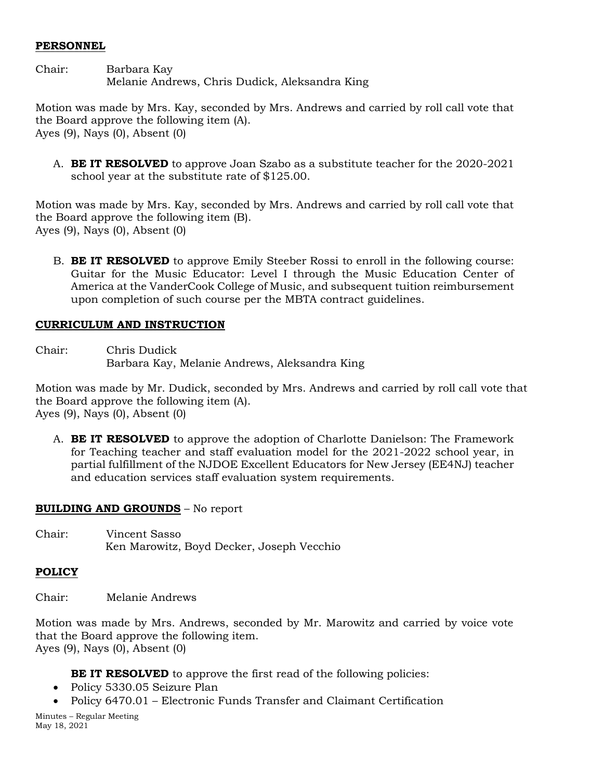#### **PERSONNEL**

Chair: Barbara Kay Melanie Andrews, Chris Dudick, Aleksandra King

Motion was made by Mrs. Kay, seconded by Mrs. Andrews and carried by roll call vote that the Board approve the following item (A). Ayes (9), Nays (0), Absent (0)

A. **BE IT RESOLVED** to approve Joan Szabo as a substitute teacher for the 2020-2021 school year at the substitute rate of \$125.00.

Motion was made by Mrs. Kay, seconded by Mrs. Andrews and carried by roll call vote that the Board approve the following item (B). Ayes (9), Nays (0), Absent (0)

B. **BE IT RESOLVED** to approve Emily Steeber Rossi to enroll in the following course: Guitar for the Music Educator: Level I through the Music Education Center of America at the VanderCook College of Music, and subsequent tuition reimbursement upon completion of such course per the MBTA contract guidelines.

### **CURRICULUM AND INSTRUCTION**

Chair: Chris Dudick Barbara Kay, Melanie Andrews, Aleksandra King

Motion was made by Mr. Dudick, seconded by Mrs. Andrews and carried by roll call vote that the Board approve the following item (A). Ayes (9), Nays (0), Absent (0)

A. **BE IT RESOLVED** to approve the adoption of Charlotte Danielson: The Framework for Teaching teacher and staff evaluation model for the 2021-2022 school year, in partial fulfillment of the NJDOE Excellent Educators for New Jersey (EE4NJ) teacher and education services staff evaluation system requirements.

#### **BUILDING AND GROUNDS** – No report

Chair: Vincent Sasso Ken Marowitz, Boyd Decker, Joseph Vecchio

# **POLICY**

Chair: Melanie Andrews

Motion was made by Mrs. Andrews, seconded by Mr. Marowitz and carried by voice vote that the Board approve the following item. Ayes (9), Nays (0), Absent (0)

**BE IT RESOLVED** to approve the first read of the following policies:

- Policy 5330.05 Seizure Plan
- Policy 6470.01 Electronic Funds Transfer and Claimant Certification

Minutes – Regular Meeting May 18, 2021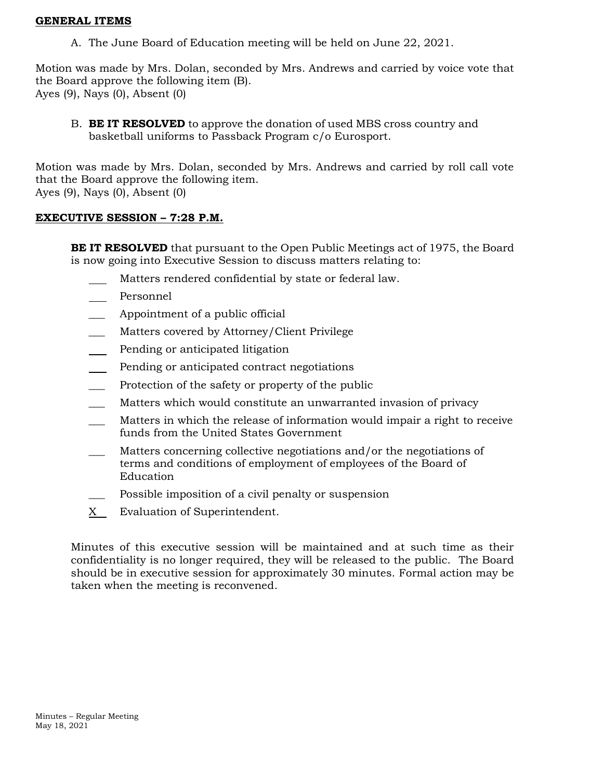#### **GENERAL ITEMS**

A. The June Board of Education meeting will be held on June 22, 2021.

Motion was made by Mrs. Dolan, seconded by Mrs. Andrews and carried by voice vote that the Board approve the following item (B). Ayes (9), Nays (0), Absent (0)

B. **BE IT RESOLVED** to approve the donation of used MBS cross country and basketball uniforms to Passback Program c/o Eurosport.

Motion was made by Mrs. Dolan, seconded by Mrs. Andrews and carried by roll call vote that the Board approve the following item. Ayes (9), Nays (0), Absent (0)

# **EXECUTIVE SESSION – 7:28 P.M.**

**BE IT RESOLVED** that pursuant to the Open Public Meetings act of 1975, the Board is now going into Executive Session to discuss matters relating to:

- Matters rendered confidential by state or federal law.
- Personnel  $\mathbb{R}^n$
- \_\_\_ Appointment of a public official
- Matters covered by Attorney/Client Privilege
- Pending or anticipated litigation
- Pending or anticipated contract negotiations  $\frac{1}{2}$
- Protection of the safety or property of the public
- Matters which would constitute an unwarranted invasion of privacy
- \_\_\_ Matters in which the release of information would impair a right to receive funds from the United States Government
- Matters concerning collective negotiations and/or the negotiations of terms and conditions of employment of employees of the Board of Education
- Possible imposition of a civil penalty or suspension
- $X$  Evaluation of Superintendent.

Minutes of this executive session will be maintained and at such time as their confidentiality is no longer required, they will be released to the public. The Board should be in executive session for approximately 30 minutes. Formal action may be taken when the meeting is reconvened.